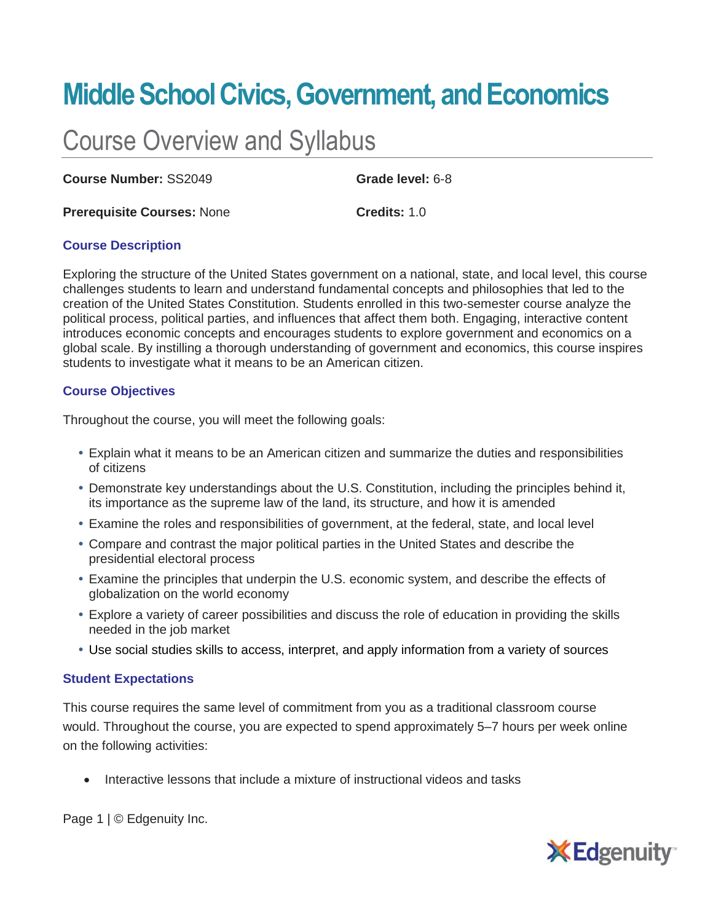# **Middle School Civics, Government, and Economics**

# Course Overview and Syllabus

**Course Number:** SS2049 **Grade level:** 6-8

**Prerequisite Courses:** None **Credits:** 1.0

# **Course Description**

Exploring the structure of the United States government on a national, state, and local level, this course challenges students to learn and understand fundamental concepts and philosophies that led to the creation of the United States Constitution. Students enrolled in this two-semester course analyze the political process, political parties, and influences that affect them both. Engaging, interactive content introduces economic concepts and encourages students to explore government and economics on a global scale. By instilling a thorough understanding of government and economics, this course inspires students to investigate what it means to be an American citizen.

# **Course Objectives**

Throughout the course, you will meet the following goals:

- Explain what it means to be an American citizen and summarize the duties and responsibilities of citizens
- Demonstrate key understandings about the U.S. Constitution, including the principles behind it, its importance as the supreme law of the land, its structure, and how it is amended
- Examine the roles and responsibilities of government, at the federal, state, and local level
- Compare and contrast the major political parties in the United States and describe the presidential electoral process
- Examine the principles that underpin the U.S. economic system, and describe the effects of globalization on the world economy
- Explore a variety of career possibilities and discuss the role of education in providing the skills needed in the job market
- Use social studies skills to access, interpret, and apply information from a variety of sources

#### **Student Expectations**

This course requires the same level of commitment from you as a traditional classroom course would. Throughout the course, you are expected to spend approximately 5–7 hours per week online on the following activities:

• Interactive lessons that include a mixture of instructional videos and tasks

Page 1 | © Edgenuity Inc.